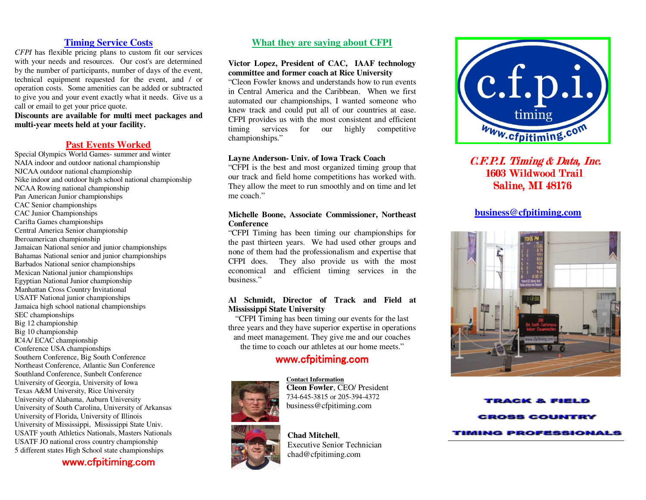# **Timing Service Costs**

 *CFPI* has flexible pricing plans to custom fit our services with your needs and resources. Our cost's are determined by the number of participants, number of days of the event, technical equipment requested for the event, and / or operation costs. Some amenities can be added or subtracted to give you and your event exactly what it needs. Give us a call or email to get your price quote.

 **Discounts are available for multi meet packages andmulti-year meets held at your facility.**

## **Past Events Worked**

 Special Olympics World Games- summer and winter NAIA indoor and outdoor national championship NJCAA outdoor national championship Nike indoor and outdoor high school national championship NCAA Rowing national championship Pan American Junior championships CAC Senior championships CAC Junior Championships Carifta Games championships Central America Senior championship Iberoamerican championship Jamaican National senior and junior championships Bahamas National senior and junior championships Barbados National senior championships Mexican National junior championships Egyptian National Junior championship Manhattan Cross Country Invitational USATF National junior championships Jamaica high school national championships SEC championships Big 12 championship Big 10 championship IC4A/ ECAC championship Conference USA championships Southern Conference, Big South Conference Northeast Conference, Atlantic Sun Conference Southland Conference, Sunbelt Conference University of Georgia, University of Iowa Texas A&M University, Rice University University of Alabama, Auburn University University of South Carolina, University of Arkansas University of Florida, University of Illinois University of Mississippi, Mississippi State Univ. USATF youth Athletics Nationals, Masters Nationals USATF JO national cross country championship 5 different states High School state championships

www.cfpitiming.com

# **What they are saying about CFPI**

## **Victor Lopez, President of CAC, IAAF technology committee and former coach at Rice University**

 "Cleon Fowler knows and understands how to run events in Central America and the Caribbean. When we first automated our championships, I wanted someone who knew track and could put all of our countries at ease. CFPI provides us with the most consistent and efficient timing services for our highly competitive championships."

#### **Layne Anderson- Univ. of Iowa Track Coach**

 "CFPI is the best and most organized timing group that our track and field home competitions has worked with. They allow the meet to run smoothly and on time and let me coach."

## **Michelle Boone, Associate Commissioner, Northeast Conference**

 "CFPI Timing has been timing our championships for the past thirteen years. We had used other groups and none of them had the professionalism and expertise that CFPI does. They also provide us with the most economical and efficient timing services in the business."

## **Al Schmidt, Director of Track and Field at Mississippi State University**

 "CFPI Timing has been timing our events for the last three years and they have superior expertise in operations and meet management. They give me and our coaches the time to coach our athletes at our home meets."

# www.cfpitiming.com

**Contact Information**





 Executive Senior Technician chad@cfpitiming.com

 **Cleon Fowler**, CEO/ President 734-645-3815 or 205-394-4372 business@cfpitiming.com



 $C.F.P.I.$  Timing  $& Data$ , Inc. 1603 Wildwood Trail Saline, MI 48176

## **business@cfpitiming.com**



ACK & FIEL **ROSS COUNTRY** TIMING PROFESSIONALS